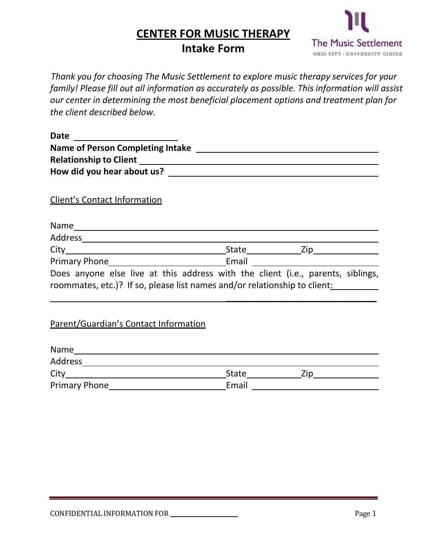# **CENTER FOR MUSIC THERAPY**



## **Intake Form**

*Thank you for choosing The Music Settlement to explore music therapy services for your family! Please fill out all information as accurately as possible. This information will assist our center in determining the most beneficial placement options and treatment plan for the client described below.*

| Date _________________________                                                  |       |  |
|---------------------------------------------------------------------------------|-------|--|
|                                                                                 |       |  |
|                                                                                 |       |  |
|                                                                                 |       |  |
| <b>Client's Contact Information</b>                                             |       |  |
|                                                                                 |       |  |
|                                                                                 |       |  |
|                                                                                 |       |  |
|                                                                                 |       |  |
| Does anyone else live at this address with the client (i.e., parents, siblings, |       |  |
| roommates, etc.)? If so, please list names and/or relationship to client:       |       |  |
|                                                                                 |       |  |
| <b>Parent/Guardian's Contact Information</b>                                    |       |  |
|                                                                                 |       |  |
|                                                                                 |       |  |
|                                                                                 |       |  |
|                                                                                 | Email |  |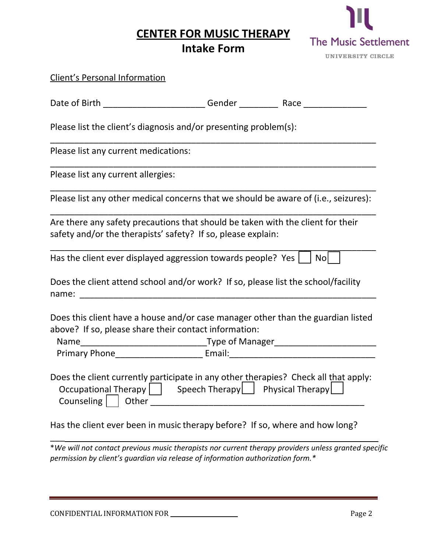**CENTER FOR MUSIC THERAPY**

## **Intake Form**



| <b>Client's Personal Information</b>                                                                                                                                                                                           |                                   |     |
|--------------------------------------------------------------------------------------------------------------------------------------------------------------------------------------------------------------------------------|-----------------------------------|-----|
|                                                                                                                                                                                                                                |                                   |     |
| Please list the client's diagnosis and/or presenting problem(s):                                                                                                                                                               |                                   |     |
| Please list any current medications:                                                                                                                                                                                           |                                   |     |
| Please list any current allergies:                                                                                                                                                                                             |                                   |     |
| Please list any other medical concerns that we should be aware of (i.e., seizures):                                                                                                                                            |                                   |     |
| Are there any safety precautions that should be taken with the client for their<br>safety and/or the therapists' safety? If so, please explain:                                                                                |                                   |     |
| Has the client ever displayed aggression towards people? Yes                                                                                                                                                                   |                                   | Nol |
| Does the client attend school and/or work? If so, please list the school/facility                                                                                                                                              |                                   |     |
| Does this client have a house and/or case manager other than the guardian listed<br>above? If so, please share their contact information:<br>Primary Phone___________________________________Email:___________________________ |                                   |     |
| Does the client currently participate in any other therapies? Check all that apply:<br>Occupational Therapy    <br>Counseling     Other                                                                                        | Speech Therapy   Physical Therapy |     |
| Has the client ever been in music therapy before? If so, where and how long?                                                                                                                                                   |                                   |     |
| *We will not contact previous music therapists nor current therapy providers unless granted specific<br>permission by client's quardian via release of information authorization form.*                                        |                                   |     |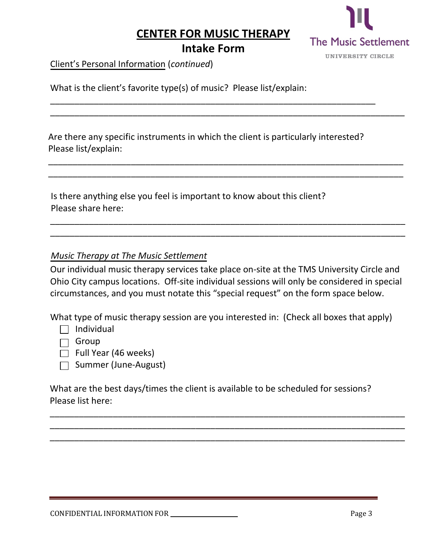#### **CENTER FOR MUSIC THERAPY**



### **Intake Form**

\_\_\_\_\_\_\_\_\_\_\_\_\_\_\_\_\_\_\_\_\_\_\_\_\_\_\_\_\_\_\_\_\_\_\_\_\_\_\_\_\_\_\_\_\_\_\_\_\_\_\_\_\_\_\_\_\_\_\_\_\_\_\_\_\_\_\_

\_\_\_\_\_\_\_\_\_\_\_\_\_\_\_\_\_\_\_\_\_\_\_\_\_\_\_\_\_\_\_\_\_\_\_\_\_\_\_\_\_\_\_\_\_\_\_\_\_\_\_\_\_\_\_\_\_\_\_\_\_\_\_\_\_\_\_\_\_\_\_\_\_

\_\_\_\_\_\_\_\_\_\_\_\_\_\_\_\_\_\_\_\_\_\_\_\_\_\_\_\_\_\_\_\_\_\_\_\_\_\_\_\_\_\_\_\_\_\_\_\_\_\_\_\_\_\_\_\_\_\_\_\_\_\_\_\_\_\_\_\_\_\_\_\_\_ \_\_\_\_\_\_\_\_\_\_\_\_\_\_\_\_\_\_\_\_\_\_\_\_\_\_\_\_\_\_\_\_\_\_\_\_\_\_\_\_\_\_\_\_\_\_\_\_\_\_\_\_\_\_\_\_\_\_\_\_\_\_\_\_\_\_\_\_\_\_\_\_\_

Client's Personal Information (*continued*)

What is the client's favorite type(s) of music? Please list/explain:

Are there any specific instruments in which the client is particularly interested? Please list/explain:

Is there anything else you feel is important to know about this client? Please share here:

#### *Music Therapy at The Music Settlement*

Our individual music therapy services take place on-site at the TMS University Circle and Ohio City campus locations. Off-site individual sessions will only be considered in special circumstances, and you must notate this "special request" on the form space below.

\_\_\_\_\_\_\_\_\_\_\_\_\_\_\_\_\_\_\_\_\_\_\_\_\_\_\_\_\_\_\_\_\_\_\_\_\_\_\_\_\_\_\_\_\_\_\_\_\_\_\_\_\_\_\_\_\_\_\_\_\_\_\_\_\_\_\_\_\_\_\_\_\_ \_\_\_\_\_\_\_\_\_\_\_\_\_\_\_\_\_\_\_\_\_\_\_\_\_\_\_\_\_\_\_\_\_\_\_\_\_\_\_\_\_\_\_\_\_\_\_\_\_\_\_\_\_\_\_\_\_\_\_\_\_\_\_\_\_\_\_\_\_\_\_\_\_

What type of music therapy session are you interested in: (Check all boxes that apply)

- $\Box$  Individual
- $\Box$  Group
- $\Box$  Full Year (46 weeks)
- $\Box$  Summer (June-August)

What are the best days/times the client is available to be scheduled for sessions? Please list here:

\_\_\_\_\_\_\_\_\_\_\_\_\_\_\_\_\_\_\_\_\_\_\_\_\_\_\_\_\_\_\_\_\_\_\_\_\_\_\_\_\_\_\_\_\_\_\_\_\_\_\_\_\_\_\_\_\_\_\_\_\_\_\_\_\_\_\_\_\_\_\_\_\_ \_\_\_\_\_\_\_\_\_\_\_\_\_\_\_\_\_\_\_\_\_\_\_\_\_\_\_\_\_\_\_\_\_\_\_\_\_\_\_\_\_\_\_\_\_\_\_\_\_\_\_\_\_\_\_\_\_\_\_\_\_\_\_\_\_\_\_\_\_\_\_\_\_ \_\_\_\_\_\_\_\_\_\_\_\_\_\_\_\_\_\_\_\_\_\_\_\_\_\_\_\_\_\_\_\_\_\_\_\_\_\_\_\_\_\_\_\_\_\_\_\_\_\_\_\_\_\_\_\_\_\_\_\_\_\_\_\_\_\_\_\_\_\_\_\_\_